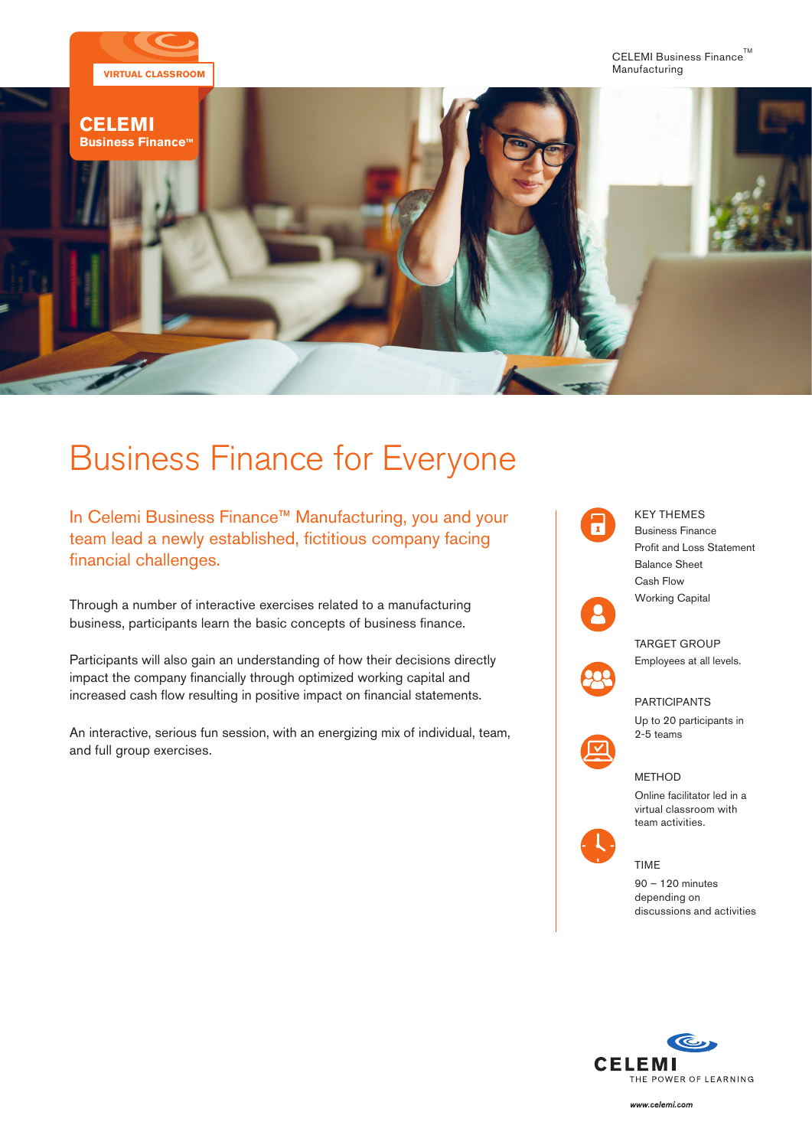

# Business Finance for Everyone

In Celemi Business Finance™ Manufacturing, you and your team lead a newly established, fictitious company facing financial challenges.

Through a number of interactive exercises related to a manufacturing business, participants learn the basic concepts of business finance.

Participants will also gain an understanding of how their decisions directly impact the company financially through optimized working capital and increased cash flow resulting in positive impact on financial statements.

An interactive, serious fun session, with an energizing mix of individual, team, and full group exercises.



Up to 20 participants in 2-5 teams

## METHOD

Online facilitator led in a virtual classroom with team activities.



TIME

90 – 120 minutes depending on discussions and activities



www.celemi.com